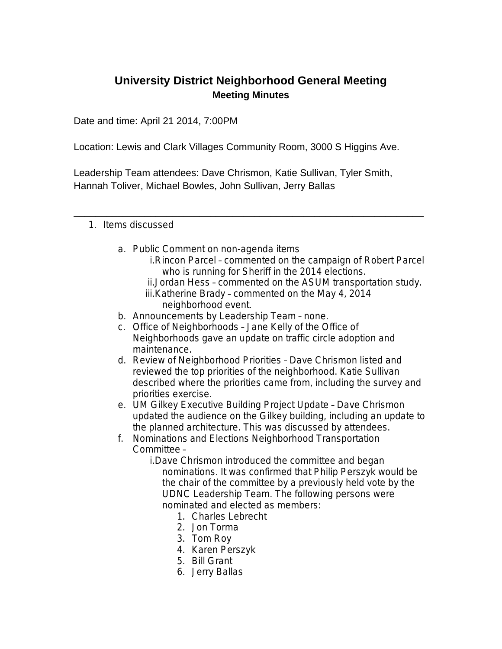## **University District Neighborhood General Meeting Meeting Minutes**

Date and time: April 21 2014, 7:00PM

Location: Lewis and Clark Villages Community Room, 3000 S Higgins Ave.

Leadership Team attendees: Dave Chrismon, Katie Sullivan, Tyler Smith, Hannah Toliver, Michael Bowles, John Sullivan, Jerry Ballas

\_\_\_\_\_\_\_\_\_\_\_\_\_\_\_\_\_\_\_\_\_\_\_\_\_\_\_\_\_\_\_\_\_\_\_\_\_\_\_\_\_\_\_\_\_\_\_\_\_\_\_\_\_\_\_\_\_\_\_\_\_\_\_\_

## 1. Items discussed

- a. Public Comment on non-agenda items
	- i.Rincon Parcel commented on the campaign of Robert Parcel who is running for Sheriff in the 2014 elections.
	- ii.Jordan Hess commented on the ASUM transportation study. iii.Katherine Brady – commented on the May 4, 2014 neighborhood event.
- b. Announcements by Leadership Team none.
- c. Office of Neighborhoods Jane Kelly of the Office of Neighborhoods gave an update on traffic circle adoption and maintenance.
- d. Review of Neighborhood Priorities Dave Chrismon listed and reviewed the top priorities of the neighborhood. Katie Sullivan described where the priorities came from, including the survey and priorities exercise.
- e. UM Gilkey Executive Building Project Update Dave Chrismon updated the audience on the Gilkey building, including an update to the planned architecture. This was discussed by attendees.
- f. Nominations and Elections Neighborhood Transportation Committee –
	- i.Dave Chrismon introduced the committee and began nominations. It was confirmed that Philip Perszyk would be the chair of the committee by a previously held vote by the UDNC Leadership Team. The following persons were nominated and elected as members:
		- 1. Charles Lebrecht
		- 2. Jon Torma
		- 3. Tom Roy
		- 4. Karen Perszyk
		- 5. Bill Grant
		- 6. Jerry Ballas